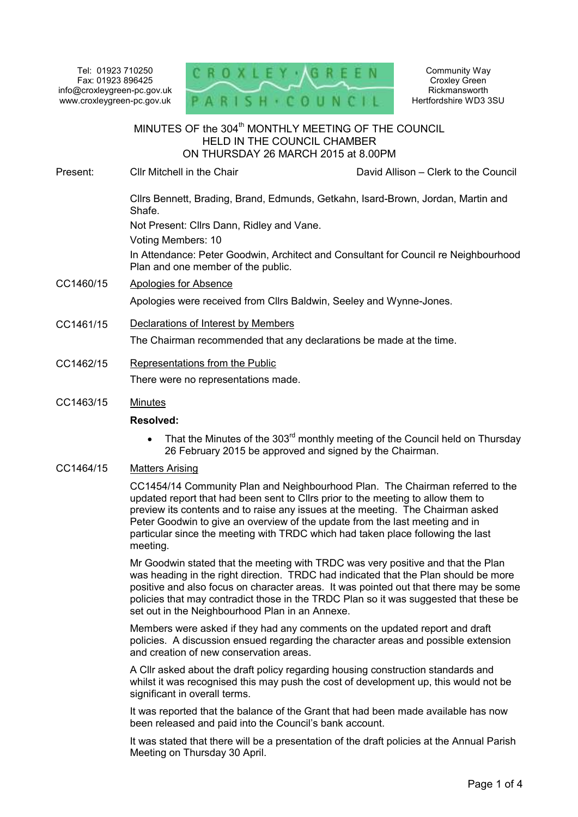Tel: 01923 710250 Fax: 01923 896425 info@croxleygreen-pc.gov.uk www.croxleygreen-pc.gov.uk



Community Way Croxley Green Rickmansworth Hertfordshire WD3 3SU

## MINUTES OF the 304<sup>th</sup> MONTHLY MEETING OF THE COUNCIL HELD IN THE COUNCIL CHAMBER ON THURSDAY 26 MARCH 2015 at 8.00PM Ĭ

### Present: Cllr Mitchell in the Chair David Allison – Clerk to the Council

Cllrs Bennett, Brading, Brand, Edmunds, Getkahn, Isard-Brown, Jordan, Martin and Shafe.

Not Present: Cllrs Dann, Ridley and Vane.

Voting Members: 10

In Attendance: Peter Goodwin, Architect and Consultant for Council re Neighbourhood Plan and one member of the public.

# CC1460/15 Apologies for Absence

Apologies were received from Cllrs Baldwin, Seeley and Wynne-Jones.

- CC1461/15 Declarations of Interest by Members The Chairman recommended that any declarations be made at the time.
- CC1462/15 Representations from the Public

There were no representations made.

## CC1463/15 Minutes

# **Resolved:**

That the Minutes of the  $303<sup>rd</sup>$  monthly meeting of the Council held on Thursday 26 February 2015 be approved and signed by the Chairman.

## CC1464/15 Matters Arising

CC1454/14 Community Plan and Neighbourhood Plan. The Chairman referred to the updated report that had been sent to Cllrs prior to the meeting to allow them to preview its contents and to raise any issues at the meeting. The Chairman asked Peter Goodwin to give an overview of the update from the last meeting and in particular since the meeting with TRDC which had taken place following the last meeting.

Mr Goodwin stated that the meeting with TRDC was very positive and that the Plan was heading in the right direction. TRDC had indicated that the Plan should be more positive and also focus on character areas. It was pointed out that there may be some policies that may contradict those in the TRDC Plan so it was suggested that these be set out in the Neighbourhood Plan in an Annexe.

Members were asked if they had any comments on the updated report and draft policies. A discussion ensued regarding the character areas and possible extension and creation of new conservation areas.

A Cllr asked about the draft policy regarding housing construction standards and whilst it was recognised this may push the cost of development up, this would not be significant in overall terms.

It was reported that the balance of the Grant that had been made available has now been released and paid into the Council's bank account.

It was stated that there will be a presentation of the draft policies at the Annual Parish Meeting on Thursday 30 April.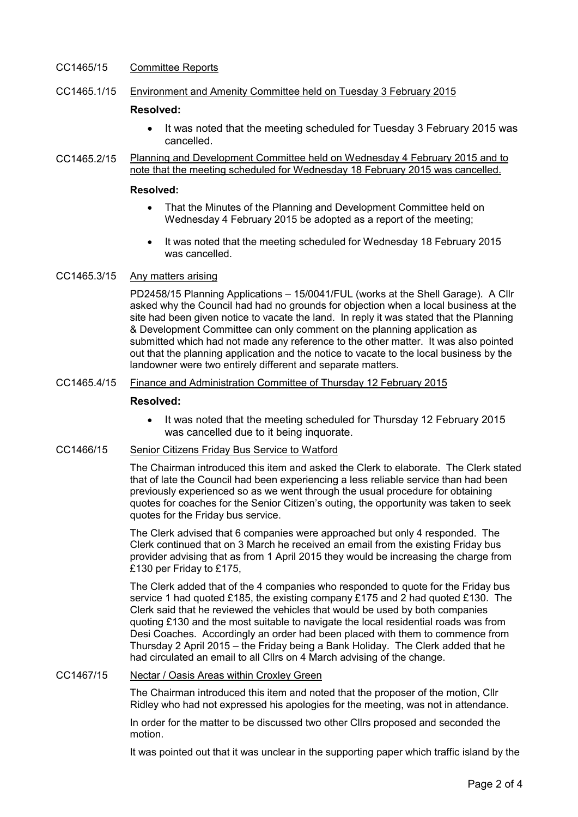# CC1465/15 Committee Reports

# CC1465.1/15 Environment and Amenity Committee held on Tuesday 3 February 2015

## **Resolved:**

- It was noted that the meeting scheduled for Tuesday 3 February 2015 was cancelled.
- CC1465.2/15 Planning and Development Committee held on Wednesday 4 February 2015 and to note that the meeting scheduled for Wednesday 18 February 2015 was cancelled.

### **Resolved:**

- That the Minutes of the Planning and Development Committee held on Wednesday 4 February 2015 be adopted as a report of the meeting;
- It was noted that the meeting scheduled for Wednesday 18 February 2015 was cancelled.

# CC1465.3/15 Any matters arising

PD2458/15 Planning Applications – 15/0041/FUL (works at the Shell Garage). A Cllr asked why the Council had had no grounds for objection when a local business at the site had been given notice to vacate the land. In reply it was stated that the Planning & Development Committee can only comment on the planning application as submitted which had not made any reference to the other matter. It was also pointed out that the planning application and the notice to vacate to the local business by the landowner were two entirely different and separate matters.

# CC1465.4/15 Finance and Administration Committee of Thursday 12 February 2015

### **Resolved:**

• It was noted that the meeting scheduled for Thursday 12 February 2015 was cancelled due to it being inquorate.

# CC1466/15 Senior Citizens Friday Bus Service to Watford

The Chairman introduced this item and asked the Clerk to elaborate. The Clerk stated that of late the Council had been experiencing a less reliable service than had been previously experienced so as we went through the usual procedure for obtaining quotes for coaches for the Senior Citizen's outing, the opportunity was taken to seek quotes for the Friday bus service.

The Clerk advised that 6 companies were approached but only 4 responded. The Clerk continued that on 3 March he received an email from the existing Friday bus provider advising that as from 1 April 2015 they would be increasing the charge from £130 per Friday to £175,

The Clerk added that of the 4 companies who responded to quote for the Friday bus service 1 had quoted £185, the existing company £175 and 2 had quoted £130. The Clerk said that he reviewed the vehicles that would be used by both companies quoting £130 and the most suitable to navigate the local residential roads was from Desi Coaches. Accordingly an order had been placed with them to commence from Thursday 2 April 2015 – the Friday being a Bank Holiday. The Clerk added that he had circulated an email to all Cllrs on 4 March advising of the change.

# CC1467/15 Nectar / Oasis Areas within Croxley Green

The Chairman introduced this item and noted that the proposer of the motion, Cllr Ridley who had not expressed his apologies for the meeting, was not in attendance.

In order for the matter to be discussed two other Cllrs proposed and seconded the motion.

It was pointed out that it was unclear in the supporting paper which traffic island by the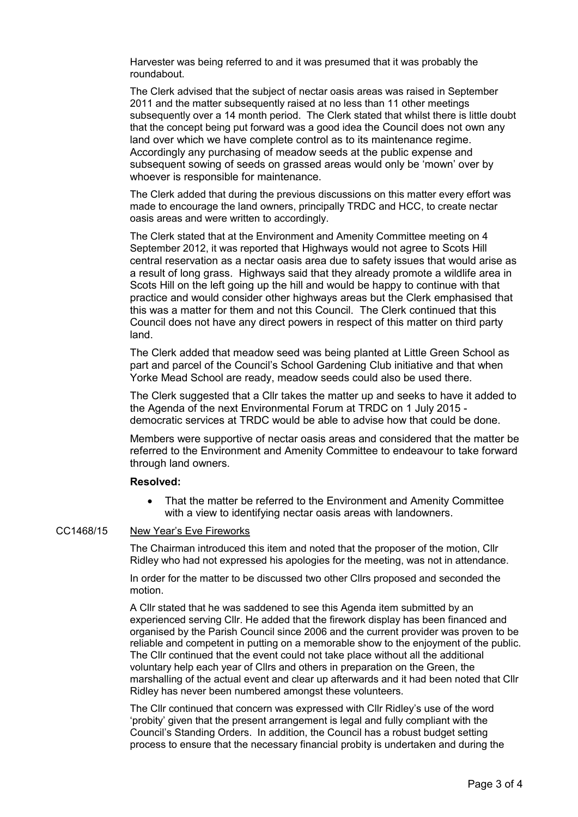Harvester was being referred to and it was presumed that it was probably the roundabout.

The Clerk advised that the subject of nectar oasis areas was raised in September 2011 and the matter subsequently raised at no less than 11 other meetings subsequently over a 14 month period. The Clerk stated that whilst there is little doubt that the concept being put forward was a good idea the Council does not own any land over which we have complete control as to its maintenance regime. Accordingly any purchasing of meadow seeds at the public expense and subsequent sowing of seeds on grassed areas would only be 'mown' over by whoever is responsible for maintenance.

The Clerk added that during the previous discussions on this matter every effort was made to encourage the land owners, principally TRDC and HCC, to create nectar oasis areas and were written to accordingly.

The Clerk stated that at the Environment and Amenity Committee meeting on 4 September 2012, it was reported that Highways would not agree to Scots Hill central reservation as a nectar oasis area due to safety issues that would arise as a result of long grass. Highways said that they already promote a wildlife area in Scots Hill on the left going up the hill and would be happy to continue with that practice and would consider other highways areas but the Clerk emphasised that this was a matter for them and not this Council. The Clerk continued that this Council does not have any direct powers in respect of this matter on third party land.

The Clerk added that meadow seed was being planted at Little Green School as part and parcel of the Council's School Gardening Club initiative and that when Yorke Mead School are ready, meadow seeds could also be used there.

The Clerk suggested that a Cllr takes the matter up and seeks to have it added to the Agenda of the next Environmental Forum at TRDC on 1 July 2015 democratic services at TRDC would be able to advise how that could be done.

Members were supportive of nectar oasis areas and considered that the matter be referred to the Environment and Amenity Committee to endeavour to take forward through land owners.

### **Resolved:**

• That the matter be referred to the Environment and Amenity Committee with a view to identifying nectar oasis areas with landowners.

## CC1468/15 New Year's Eve Fireworks

The Chairman introduced this item and noted that the proposer of the motion, Cllr Ridley who had not expressed his apologies for the meeting, was not in attendance.

In order for the matter to be discussed two other Cllrs proposed and seconded the motion.

A Cllr stated that he was saddened to see this Agenda item submitted by an experienced serving Cllr. He added that the firework display has been financed and organised by the Parish Council since 2006 and the current provider was proven to be reliable and competent in putting on a memorable show to the enjoyment of the public. The Cllr continued that the event could not take place without all the additional voluntary help each year of Cllrs and others in preparation on the Green, the marshalling of the actual event and clear up afterwards and it had been noted that Cllr Ridley has never been numbered amongst these volunteers.

The Cllr continued that concern was expressed with Cllr Ridley's use of the word 'probity' given that the present arrangement is legal and fully compliant with the Council's Standing Orders. In addition, the Council has a robust budget setting process to ensure that the necessary financial probity is undertaken and during the